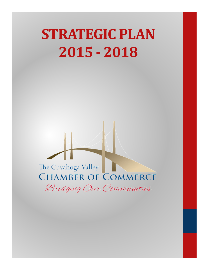# STRATEGIC PLAN 2015 - 2018

The Cuyahoga Valley **CHAMBER OF COMMERCE** Bridging Our Communities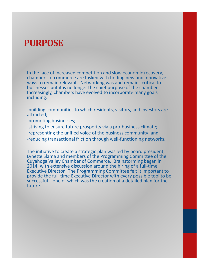### PURPOSE

In the face of increased competition and slow economic recovery, chambers of commerce are tasked with finding new and innovative ways to remain relevant. Networking was and remains critical to businesses but it is no longer the chief purpose of the chamber. Increasingly, chambers have evolved to incorporate many goals including:

-building communities to which residents, visitors, and investors are attracted;

-promoting businesses;

-striving to ensure future prosperity via a pro-business climate;

-representing the unified voice of the business community; and

-reducing transactional friction through well-functioning networks.

The initiative to create a strategic plan was led by board president, Lynette Slama and members of the Programming Committee of the Cuyahoga Valley Chamber of Commerce. Brainstorming began in 2014, with extensive discussion around the hiring of a full-time Executive Director. The Programming Committee felt it important to provide the full-time Executive Director with every possible tool to be successful—one of which was the creation of a detailed plan for the future.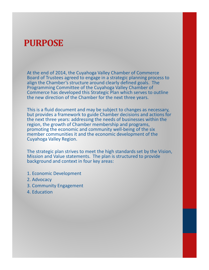### PURPOSE

At the end of 2014, the Cuyahoga Valley Chamber of Commerce Board of Trustees agreed to engage in a strategic planning process to align the Chamber's structure around clearly defined goals. The Programming Committee of the Cuyahoga Valley Chamber of Commerce has developed this Strategic Plan which serves to outline the new direction of the Chamber for the next three years.

This is a fluid document and may be subject to changes as necessary, but provides a framework to guide Chamber decisions and actions for the next three years: addressing the needs of businesses within the region, the growth of Chamber membership and programs, promoting the economic and community well-being of the six member communities it and the economic development of the Cuyahoga Valley Region.

The strategic plan strives to meet the high standards set by the Vision, Mission and Value statements. The plan is structured to provide background and context in four key areas:

- 1. Economic Development
- 2. Advocacy
- 3. Community Engagement
- 4. Education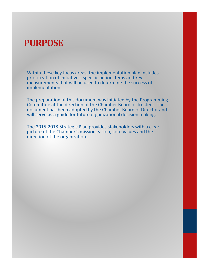### PURPOSE

Within these key focus areas, the implementation plan includes prioritization of initiatives, specific action items and key measurements that will be used to determine the success of implementation.

The preparation of this document was initiated by the Programming Committee at the direction of the Chamber Board of Trustees. The document has been adopted by the Chamber Board of Director and will serve as a guide for future organizational decision making.

The 2015-2018 Strategic Plan provides stakeholders with a clear picture of the Chamber's mission, vision, core values and the direction of the organization.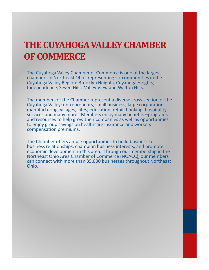# THE CUYAHOGA VALLEY CHAMBER OF COMMERCE

The Cuyahoga Valley Chamber of Commerce is one of the largest chambers in Northeast Ohio, representing six communities in the Cuyahoga Valley Region: Brooklyn Heights, Cuyahoga Heights, Independence, Seven Hills, Valley View and Walton Hills.

The members of the Chamber represent a diverse cross-section of the Cuyahoga Valley: entrepreneurs, small business, large corporations, manufacturing, villages, cites, education, retail, banking, hospitality services and many more. Members enjoy many benefits –programs and resources to help grow their companies as well as opportunities to enjoy group savings on healthcare insurance and workers compensation premiums.

The Chamber offers ample opportunities to build business-tobusiness relationships, champion business interests, and promote economic development in this area. Through our membership in the Northeast Ohio Area Chamber of Commerce (NOACC), our members can connect with more than 35,000 businesses throughout Northeast Ohio.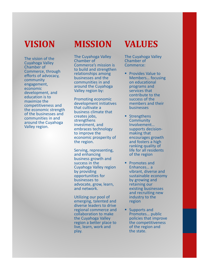# VISION

The vision of the Cuyahoga Valley Chamber of Commerce, through efforts of advocacy, community engagement, economic development, and education is to maximize the competitiveness and the economic strength of the businesses and communities in and around the Cuyahoga Valley region.

# **MISSION**

The Cuyahoga Valley Chamber of Commerce's mission is to build and strengthen relationships among businesses and the communities in and around the Cuyahoga Valley region by:

Promoting economic development initiatives that cultivate a business climate that creates jobs, strengthens investment, and embraces technology to improve the economic prosperity of the region.

Serving, representing, and enhancing business growth and success in the Cuyahoga Valley region by providing opportunities for businesses to advocate, grow, learn, and network.

Utilizing our pool of emerging, talented and diverse leaders to drive regional commerce and collaboration to make the Cuyahoga Valley region a better place to live, learn, work and play.

# VALUES

The Cuyahoga Valley Chamber of Commerce:

- **Provides Value to** Members… focusing on educational programs and services that contribute to the success of the members and their businesses
- **Strengthens Community** Involvement… supports decisionmaking that encourages growth and fosters a high ranking quality of life for all residents of the region
- Promotes and Enhances… a vibrant, diverse and sustainable economy by growing and retaining our existing businesses and recruiting new industry to the region
- **Supports and** Promotes… public policies that improve the competitiveness of the region and the state.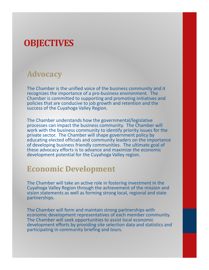#### Advocacy

The Chamber is the unified voice of the business community and it recognizes the importance of a pro-business environment. The Chamber is committed to supporting and promoting initiatives and policies that are conducive to job growth and retention and the success of the Cuyahoga Valley Region.

The Chamber understands how the governmental/legislative processes can impact the business community. The Chamber will work with the business community to identify priority issues for the private sector. The Chamber will shape government policy by educating elected officials and community leaders on the importance of developing business friendly communities. The ultimate goal of these advocacy efforts is to advance and maximize the economic development potential for the Cuyahoga Valley region.

#### Economic Development

The Chamber will take an active role in fostering investment in the Cuyahoga Valley Region through the achievement of the mission and vision statements as well as forming strong local, regional and state partnerships.

The Chamber will form and maintain strong partnerships with economic development representatives of each member community. The Chamber will seek opportunities to assist local economic development efforts by providing site selection data and statistics and participating in community briefing and tours.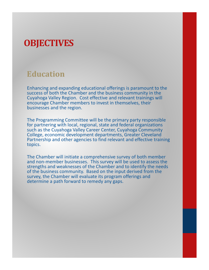### Education

Enhancing and expanding educational offerings is paramount to the success of both the Chamber and the business community in the Cuyahoga Valley Region. Cost effective and relevant trainings will encourage Chamber members to invest in themselves, their businesses and the region.

The Programming Committee will be the primary party responsible for partnering with local, regional, state and federal organizations such as the Cuyahoga Valley Career Center, Cuyahoga Community College, economic development departments, Greater Cleveland Partnership and other agencies to find relevant and effective training topics.

The Chamber will initiate a comprehensive survey of both member and non-member businesses. This survey will be used to assess the strengths and weaknesses of the Chamber and to identify the needs of the business community. Based on the input derived from the survey, the Chamber will evaluate its program offerings and determine a path forward to remedy any gaps.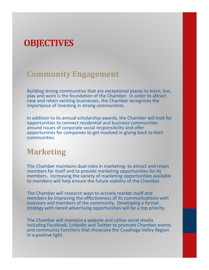#### Community Engagement

Building strong communities that are exceptional places to learn, live, play and work is the foundation of the Chamber. In order to attract new and retain existing businesses, the Chamber recognizes the importance of investing in strong communities.

In addition to its annual scholarship awards, the Chamber will look for opportunities to connect residential and business communities around issues of corporate social responsibility and offer opportunities for companies to get involved in giving back to their communities.

#### Marketing

The Chamber maintains dual roles in marketing: to attract and retain members for itself and to provide marketing opportunities for its members. Increasing the variety of marketing opportunities available to members will help ensure the future viability of the Chamber.

The Chamber will research ways to actively market itself and members by improving the effectiveness of its communications with investors and members of the community. Developing a formal strategy with tiered advertising opportunities will be a top priority.

The Chamber will maintain a website and utilize social media including Facebook, LinkedIn and Twitter to promote Chamber events and community functions that showcase the Cuyahoga Valley Region in a positive light.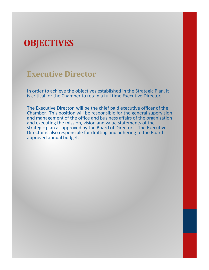#### Executive Director

In order to achieve the objectives established in the Strategic Plan, it is critical for the Chamber to retain a full time Executive Director.

The Executive Director will be the chief paid executive officer of the Chamber. This position will be responsible for the general supervision and management of the office and business affairs of the organization and executing the mission, vision and value statements of the strategic plan as approved by the Board of Directors. The Executive Director is also responsible for drafting and adhering to the Board approved annual budget.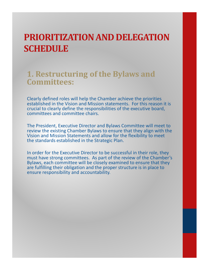#### 1. Restructuring of the Bylaws and Committees:

Clearly defined roles will help the Chamber achieve the priorities established in the Vision and Mission statements. For this reason it is crucial to clearly define the responsibilities of the executive board, committees and committee chairs.

The President, Executive Director and Bylaws Committee will meet to review the existing Chamber Bylaws to ensure that they align with the Vision and Mission Statements and allow for the flexibility to meet the standards established in the Strategic Plan.

In order for the Executive Director to be successful in their role, they must have strong committees. As part of the review of the Chamber's Bylaws, each committee will be closely examined to ensure that they are fulfilling their obligation and the proper structure is in place to ensure responsibility and accountability.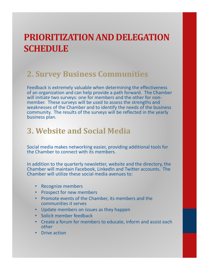### 2. Survey Business Communities

Feedback is extremely valuable when determining the effectiveness of an organization and can help provide a path forward. The Chamber will initiate two surveys: one for members and the other for nonmember. These surveys will be used to assess the strengths and weaknesses of the Chamber and to identify the needs of the business community. The results of the surveys will be reflected in the yearly business plan.

### 3. Website and Social Media

Social media makes networking easier, providing additional tools for the Chamber to connect with its members.

In addition to the quarterly newsletter, website and the directory, the Chamber will maintain Facebook, LinkedIn and Twitter accounts. The Chamber will utilize these social media avenues to:

- Recognize members
- Prospect for new members
- Promote events of the Chamber, its members and the communities it serves
- Update members on issues as they happen
- Solicit member feedback
- Create a forum for members to educate, inform and assist each other
- Drive action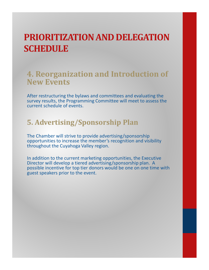#### 4. Reorganization and Introduction of New Events

After restructuring the bylaws and committees and evaluating the survey results, the Programming Committee will meet to assess the current schedule of events.

#### 5. Advertising/Sponsorship Plan

The Chamber will strive to provide advertising/sponsorship opportunities to increase the member's recognition and visibility throughout the Cuyahoga Valley region.

In addition to the current marketing opportunities, the Executive Director will develop a tiered advertising/sponsorship plan. A possible incentive for top tier donors would be one on one time with guest speakers prior to the event.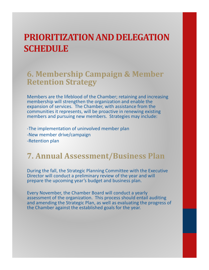#### 6. Membership Campaign & Member Retention Strategy

Members are the lifeblood of the Chamber; retaining and increasing membership will strengthen the organization and enable the expansion of services. The Chamber, with assistance from the communities it represents, will be proactive in renewing existing members and pursuing new members. Strategies may include:

-The implementation of uninvolved member plan -New member drive/campaign -Retention plan

### 7. Annual Assessment/Business Plan

During the fall, the Strategic Planning Committee with the Executive Director will conduct a preliminary review of the year and will prepare the upcoming year's budget and business plan.

Every November, the Chamber Board will conduct a yearly assessment of the organization. This process should entail auditing and amending the Strategic Plan, as well as evaluating the progress of the Chamber against the established goals for the year.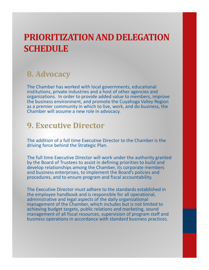### 8. Advocacy

The Chamber has worked with local governments, educational institutions, private industries and a host of other agencies and organizations. In order to provide added value to members, improve the business environment, and promote the Cuyahoga Valley Region as a premier community in which to live, work, and do business, the Chamber will assume a new role in advocacy.

#### 9. Executive Director

The addition of a full time Executive Director to the Chamber is the driving force behind the Strategic Plan.

The full time Executive Director will work under the authority granted by the Board of Trustees to assist in defining priorities to build and develop relationships among the Chamber, its corporate members and business enterprises, to implement the Board's policies and procedures, and to ensure program and fiscal accountability.

The Executive Director must adhere to the standards established in the employee handbook and is responsible for all operational, administrative and legal aspects of the daily organizational management of the Chamber, which includes but is not limited to achieving budget targets, public relations and marketing, sound management of all fiscal resources, supervision of program staff and business operations in accordance with standard business practices.